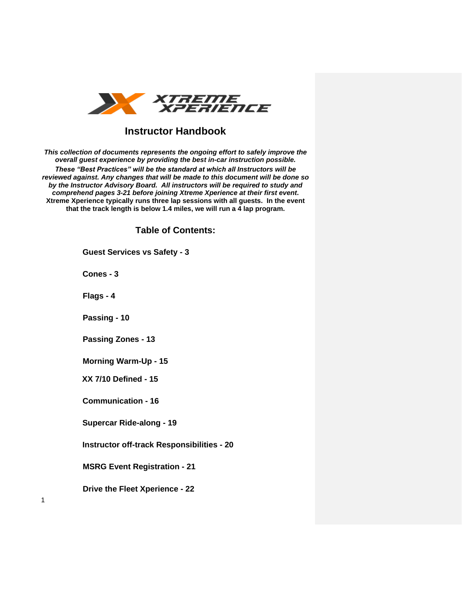

## **Instructor Handbook**

*This collection of documents represents the ongoing effort to safely improve the overall guest experience by providing the best in-car instruction possible. These "Best Practices" will be the standard at which all Instructors will be reviewed against. Any changes that will be made to this document will be done so by the Instructor Advisory Board. All instructors will be required to study and comprehend pages 3-21 before joining Xtreme Xperience at their first event***. Xtreme Xperience typically runs three lap sessions with all guests. In the event that the track length is below 1.4 miles, we will run a 4 lap program.**

**Table of Contents:** 

**Guest Services vs Safety - 3**

**Cones - 3**

**Flags - 4**

1

**Passing - 10** 

**Passing Zones - 13**

**Morning Warm-Up - 15**

**XX 7/10 Defined - 15**

**Communication - 16**

**Supercar Ride-along - 19**

**Instructor off-track Responsibilities - 20**

**MSRG Event Registration - 21**

**Drive the Fleet Xperience - 22**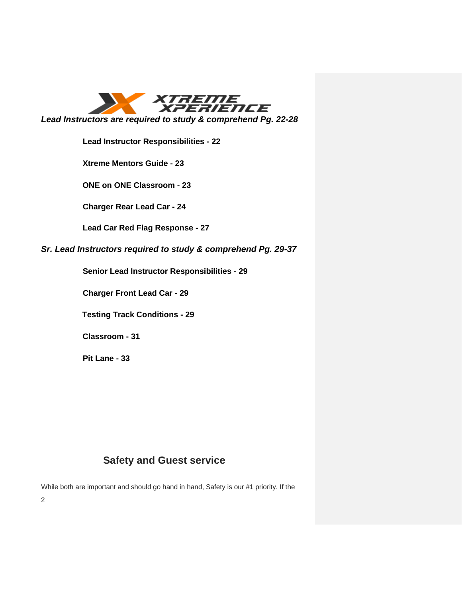

**Lead Instructor Responsibilities - 22**

**Xtreme Mentors Guide - 23**

**ONE on ONE Classroom - 23**

**Charger Rear Lead Car - 24**

**Lead Car Red Flag Response - 27**

*Sr. Lead Instructors required to study & comprehend Pg. 29-37*

**Senior Lead Instructor Responsibilities - 29** 

**Charger Front Lead Car - 29** 

**Testing Track Conditions - 29**

**Classroom - 31**

**Pit Lane - 33**

# **Safety and Guest service**

While both are important and should go hand in hand, Safety is our #1 priority. If the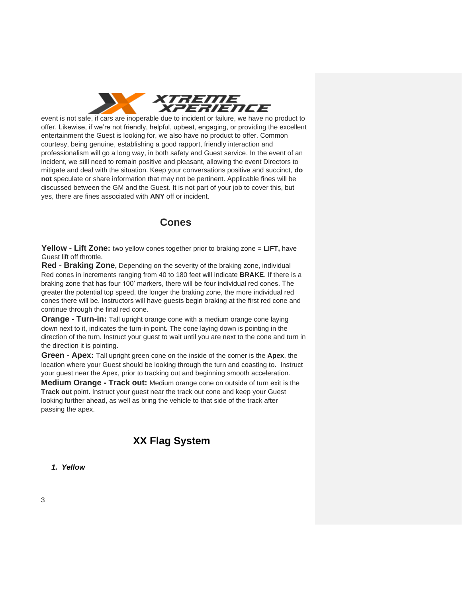

event is not safe, if cars are inoperable due to incident or failure, we have no product to offer. Likewise, if we're not friendly, helpful, upbeat, engaging, or providing the excellent entertainment the Guest is looking for, we also have no product to offer. Common courtesy, being genuine, establishing a good rapport, friendly interaction and professionalism will go a long way, in both safety and Guest service. In the event of an incident, we still need to remain positive and pleasant, allowing the event Directors to mitigate and deal with the situation. Keep your conversations positive and succinct, **do not** speculate or share information that may not be pertinent. Applicable fines will be discussed between the GM and the Guest. It is not part of your job to cover this, but yes, there are fines associated with **ANY** off or incident.

## **Cones**

**Yellow - Lift Zone:** two yellow cones together prior to braking zone = **LIFT,** have Guest lift off throttle.

**Red - Braking Zone,** Depending on the severity of the braking zone, individual Red cones in increments ranging from 40 to 180 feet will indicate **BRAKE**. If there is a braking zone that has four 100' markers, there will be four individual red cones. The greater the potential top speed, the longer the braking zone, the more individual red cones there will be. Instructors will have guests begin braking at the first red cone and continue through the final red cone.

**Orange - Turn-in:** Tall upright orange cone with a medium orange cone laying down next to it, indicates the turn-in point**.** The cone laying down is pointing in the direction of the turn. Instruct your guest to wait until you are next to the cone and turn in the direction it is pointing.

**Green - Apex:** Tall upright green cone on the inside of the corner is the **Apex**, the location where your Guest should be looking through the turn and coasting to. Instruct your guest near the Apex, prior to tracking out and beginning smooth acceleration.

**Medium Orange - Track out:** Medium orange cone on outside of turn exit is the **Track out** point**.** Instruct your guest near the track out cone and keep your Guest looking further ahead, as well as bring the vehicle to that side of the track after passing the apex.

# **XX Flag System**

*1. Yellow*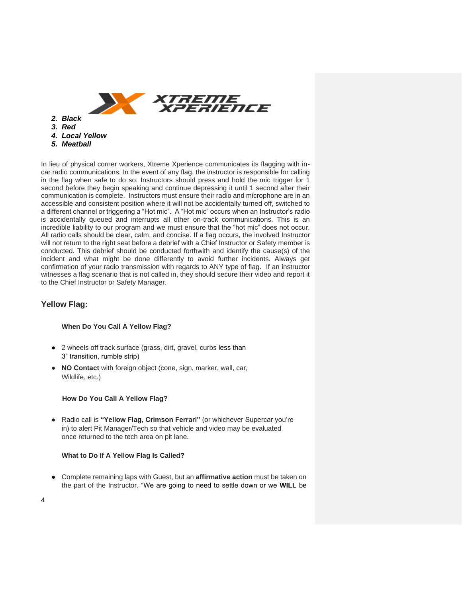

*5. Meatball* 

In lieu of physical corner workers, Xtreme Xperience communicates its flagging with incar radio communications. In the event of any flag, the instructor is responsible for calling in the flag when safe to do so. Instructors should press and hold the mic trigger for 1 second before they begin speaking and continue depressing it until 1 second after their communication is complete. Instructors must ensure their radio and microphone are in an accessible and consistent position where it will not be accidentally turned off, switched to a different channel or triggering a "Hot mic". A "Hot mic" occurs when an Instructor's radio is accidentally queued and interrupts all other on-track communications. This is an incredible liability to our program and we must ensure that the "hot mic" does not occur. All radio calls should be clear, calm, and concise. If a flag occurs, the involved Instructor will not return to the right seat before a debrief with a Chief Instructor or Safety member is conducted. This debrief should be conducted forthwith and identify the cause(s) of the incident and what might be done differently to avoid further incidents. Always get confirmation of your radio transmission with regards to ANY type of flag. If an instructor witnesses a flag scenario that is not called in, they should secure their video and report it to the Chief Instructor or Safety Manager.

## **Yellow Flag:**

#### **When Do You Call A Yellow Flag?**

- 2 wheels off track surface (grass, dirt, gravel, curbs less than 3" transition, rumble strip)
- **NO Contact** with foreign object (cone, sign, marker, wall, car, Wildlife, etc.)

#### **How Do You Call A Yellow Flag?**

● Radio call is **"Yellow Flag, Crimson Ferrari"** (or whichever Supercar you're in) to alert Pit Manager/Tech so that vehicle and video may be evaluated once returned to the tech area on pit lane.

#### **What to Do If A Yellow Flag Is Called?**

● Complete remaining laps with Guest, but an **affirmative action** must be taken on the part of the Instructor. "We are going to need to settle down or we **WILL** be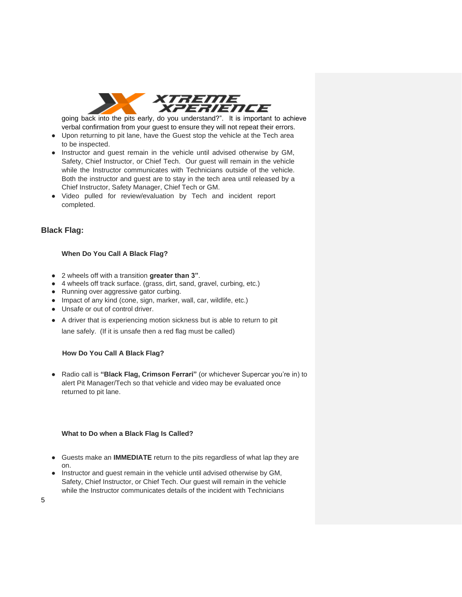

going back into the pits early, do you understand?". It is important to achieve verbal confirmation from your guest to ensure they will not repeat their errors.

- Upon returning to pit lane, have the Guest stop the vehicle at the Tech area to be inspected.
- Instructor and guest remain in the vehicle until advised otherwise by GM, Safety, Chief Instructor, or Chief Tech. Our guest will remain in the vehicle while the Instructor communicates with Technicians outside of the vehicle. Both the instructor and guest are to stay in the tech area until released by a Chief Instructor, Safety Manager, Chief Tech or GM.
- Video pulled for review/evaluation by Tech and incident report completed.

## **Black Flag:**

#### **When Do You Call A Black Flag?**

- 2 wheels off with a transition **greater than 3"**.
- 4 wheels off track surface. (grass, dirt, sand, gravel, curbing, etc.)
- Running over aggressive gator curbing.
- Impact of any kind (cone, sign, marker, wall, car, wildlife, etc.)
- Unsafe or out of control driver.
- A driver that is experiencing motion sickness but is able to return to pit

lane safely. (If it is unsafe then a red flag must be called)

### **How Do You Call A Black Flag?**

● Radio call is **"Black Flag, Crimson Ferrari"** (or whichever Supercar you're in) to alert Pit Manager/Tech so that vehicle and video may be evaluated once returned to pit lane.

#### **What to Do when a Black Flag Is Called?**

- Guests make an **IMMEDIATE** return to the pits regardless of what lap they are on.
- Instructor and guest remain in the vehicle until advised otherwise by GM, Safety, Chief Instructor, or Chief Tech. Our guest will remain in the vehicle while the Instructor communicates details of the incident with Technicians

5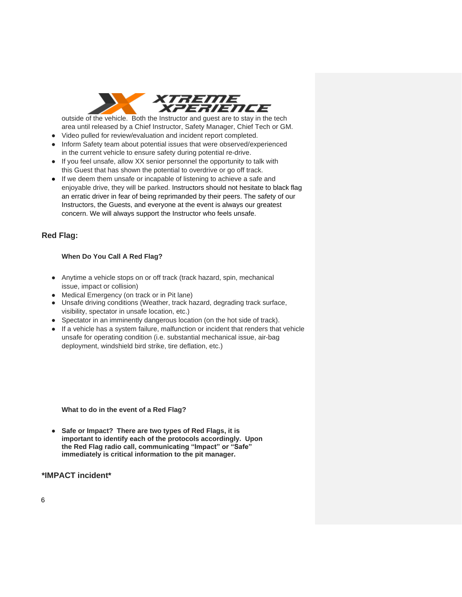

outside of the vehicle. Both the Instructor and guest are to stay in the tech area until released by a Chief Instructor, Safety Manager, Chief Tech or GM.

- Video pulled for review/evaluation and incident report completed.
- Inform Safety team about potential issues that were observed/experienced in the current vehicle to ensure safety during potential re-drive.
- If you feel unsafe, allow XX senior personnel the opportunity to talk with this Guest that has shown the potential to overdrive or go off track.
- If we deem them unsafe or incapable of listening to achieve a safe and enjoyable drive, they will be parked. Instructors should not hesitate to black flag an erratic driver in fear of being reprimanded by their peers. The safety of our Instructors, the Guests, and everyone at the event is always our greatest concern. We will always support the Instructor who feels unsafe.

## **Red Flag:**

#### **When Do You Call A Red Flag?**

- Anytime a vehicle stops on or off track (track hazard, spin, mechanical issue, impact or collision)
- Medical Emergency (on track or in Pit lane)
- Unsafe driving conditions (Weather, track hazard, degrading track surface, visibility, spectator in unsafe location, etc.)
- Spectator in an imminently dangerous location (on the hot side of track).
- If a vehicle has a system failure, malfunction or incident that renders that vehicle unsafe for operating condition (i.e. substantial mechanical issue, air-bag deployment, windshield bird strike, tire deflation, etc.)

**What to do in the event of a Red Flag?** 

● **Safe or Impact? There are two types of Red Flags, it is important to identify each of the protocols accordingly. Upon the Red Flag radio call, communicating "Impact" or "Safe" immediately is critical information to the pit manager.**

#### **\*IMPACT incident\***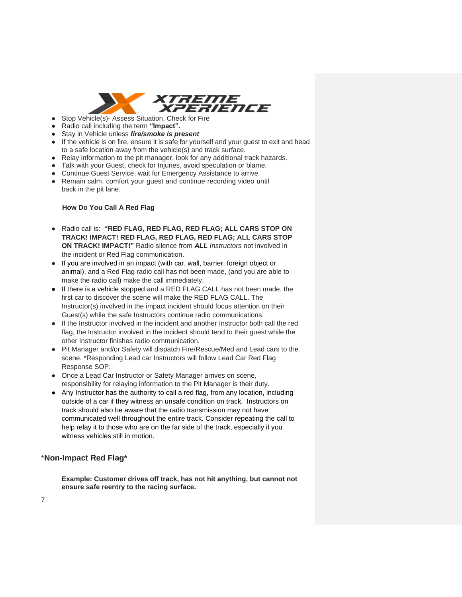

- Stop Vehicle(s)- Assess Situation, Check for Fire
- Radio call including the term **"Impact".**
- Stay in Vehicle unless *fire/smoke is present*
- If the vehicle is on fire, ensure it is safe for yourself and your guest to exit and head to a safe location away from the vehicle(s) and track surface.
- Relay information to the pit manager, look for any additional track hazards.
- Talk with your Guest, check for Injuries, avoid speculation or blame.
- Continue Guest Service, wait for Emergency Assistance to arrive.
- Remain calm, comfort your guest and continue recording video until back in the pit lane.

#### **How Do You Call A Red Flag**

- Radio call is: **"RED FLAG, RED FLAG, RED FLAG; ALL CARS STOP ON TRACK! IMPACT! RED FLAG, RED FLAG, RED FLAG; ALL CARS STOP ON TRACK! IMPACT!"** Radio silence from *ALL Instructors* not involved in the incident or Red Flag communication.
- If you are involved in an impact (with car, wall, barrier, foreign object or animal), and a Red Flag radio call has not been made, (and you are able to make the radio call) make the call immediately.
- If there is a vehicle stopped and a RED FLAG CALL has not been made, the first car to discover the scene will make the RED FLAG CALL. The Instructor(s) involved in the impact incident should focus attention on their Guest(s) while the safe Instructors continue radio communications.
- If the Instructor involved in the incident and another Instructor both call the red flag, the Instructor involved in the incident should tend to their guest while the other Instructor finishes radio communication.
- Pit Manager and/or Safety will dispatch Fire/Rescue/Med and Lead cars to the scene. \*Responding Lead car Instructors will follow Lead Car Red Flag Response SOP.
- Once a Lead Car Instructor or Safety Manager arrives on scene, responsibility for relaying information to the Pit Manager is their duty.
- Any Instructor has the authority to call a red flag, from any location, including outside of a car if they witness an unsafe condition on track. Instructors on track should also be aware that the radio transmission may not have communicated well throughout the entire track. Consider repeating the call to help relay it to those who are on the far side of the track, especially if you witness vehicles still in motion.

### \***Non-Impact Red Flag\***

**Example: Customer drives off track, has not hit anything, but cannot not ensure safe reentry to the racing surface.**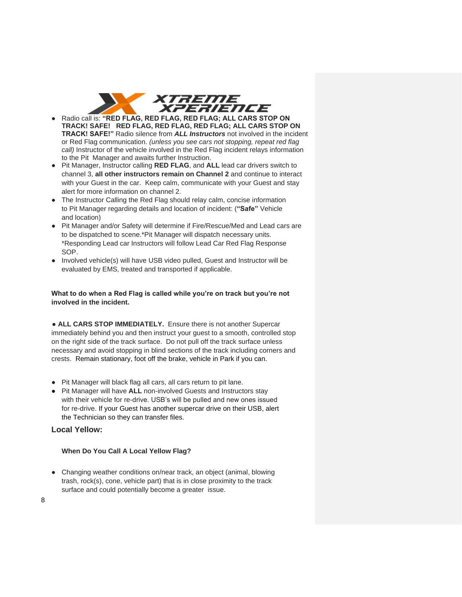

- Radio call is: **"RED FLAG, RED FLAG, RED FLAG; ALL CARS STOP ON TRACK! SAFE! RED FLAG, RED FLAG, RED FLAG; ALL CARS STOP ON TRACK! SAFE!"** Radio silence from *ALL Instructors* not involved in the incident or Red Flag communication. *(unless you see cars not stopping, repeat red flag call)* Instructor of the vehicle involved in the Red Flag incident relays information to the Pit Manager and awaits further Instruction.
- Pit Manager, Instructor calling **RED FLAG**, and **ALL** lead car drivers switch to channel 3, **all other instructors remain on Channel 2** and continue to interact with your Guest in the car. Keep calm, communicate with your Guest and stay alert for more information on channel 2.
- The Instructor Calling the Red Flag should relay calm, concise information to Pit Manager regarding details and location of incident: (**"Safe"** Vehicle and location)
- Pit Manager and/or Safety will determine if Fire/Rescue/Med and Lead cars are to be dispatched to scene.\*Pit Manager will dispatch necessary units. \*Responding Lead car Instructors will follow Lead Car Red Flag Response SOP.
- Involved vehicle(s) will have USB video pulled, Guest and Instructor will be evaluated by EMS, treated and transported if applicable.

#### **What to do when a Red Flag is called while you're on track but you're not involved in the incident.**

● **ALL CARS STOP IMMEDIATELY.** Ensure there is not another Supercar immediately behind you and then instruct your guest to a smooth, controlled stop on the right side of the track surface. Do not pull off the track surface unless necessary and avoid stopping in blind sections of the track including corners and crests. Remain stationary, foot off the brake, vehicle in Park if you can.

- Pit Manager will black flag all cars, all cars return to pit lane.
- Pit Manager will have **ALL** non-involved Guests and Instructors stay with their vehicle for re-drive. USB's will be pulled and new ones issued for re-drive. If your Guest has another supercar drive on their USB, alert the Technician so they can transfer files.

## **Local Yellow:**

### **When Do You Call A Local Yellow Flag?**

● Changing weather conditions on/near track, an object (animal, blowing trash, rock(s), cone, vehicle part) that is in close proximity to the track surface and could potentially become a greater issue.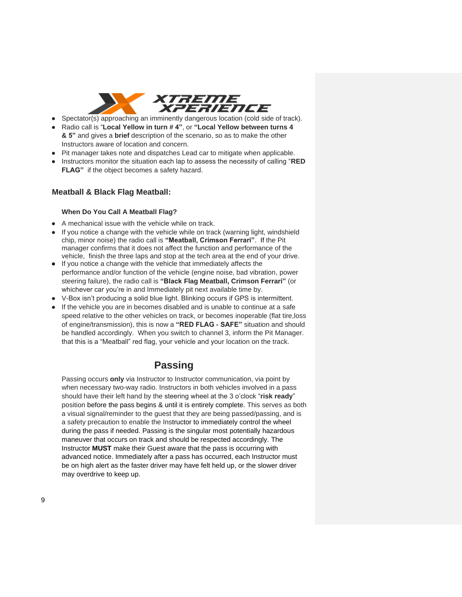

- Spectator(s) approaching an imminently dangerous location (cold side of track).
- Radio call is "**Local Yellow in turn # 4"**, or **"Local Yellow between turns 4 & 5"** and gives a **brief** description of the scenario, so as to make the other Instructors aware of location and concern.
- Pit manager takes note and dispatches Lead car to mitigate when applicable.
- Instructors monitor the situation each lap to assess the necessity of calling "RED **FLAG"** if the object becomes a safety hazard.

#### **Meatball & Black Flag Meatball:**

#### **When Do You Call A Meatball Flag?**

- A mechanical issue with the vehicle while on track.
- If you notice a change with the vehicle while on track (warning light, windshield chip, minor noise) the radio call is **"Meatball, Crimson Ferrari"**. If the Pit manager confirms that it does not affect the function and performance of the vehicle, finish the three laps and stop at the tech area at the end of your drive.
- If you notice a change with the vehicle that immediately affects the performance and/or function of the vehicle (engine noise, bad vibration, power steering failure), the radio call is **"Black Flag Meatball, Crimson Ferrari"** (or whichever car you're in and Immediately pit next available time by.
- V-Box isn't producing a solid blue light. Blinking occurs if GPS is intermittent.
- If the vehicle you are in becomes disabled and is unable to continue at a safe speed relative to the other vehicles on track, or becomes inoperable (flat tire,loss of engine/transmission), this is now a **"RED FLAG - SAFE"** situation and should be handled accordingly. When you switch to channel 3, inform the Pit Manager. that this is a "Meatball" red flag, your vehicle and your location on the track.

## **Passing**

Passing occurs **only** via Instructor to Instructor communication, via point by when necessary two-way radio. Instructors in both vehicles involved in a pass should have their left hand by the steering wheel at the 3 o'clock "**risk ready**" position before the pass begins & until it is entirely complete. This serves as both a visual signal/reminder to the guest that they are being passed/passing, and is a safety precaution to enable the Instructor to immediately control the wheel during the pass if needed. Passing is the singular most potentially hazardous maneuver that occurs on track and should be respected accordingly. The Instructor **MUST** make their Guest aware that the pass is occurring with advanced notice. Immediately after a pass has occurred, each Instructor must be on high alert as the faster driver may have felt held up, or the slower driver may overdrive to keep up.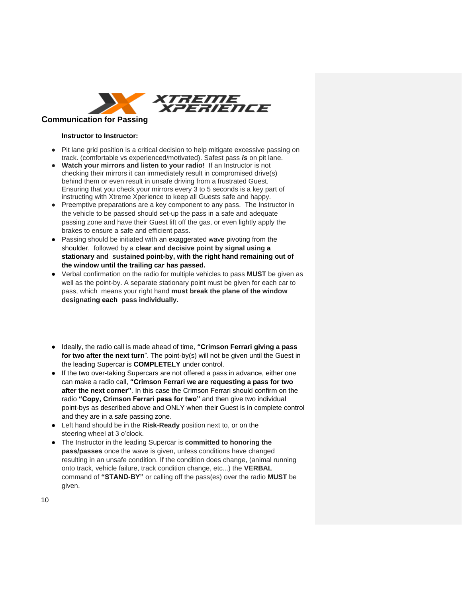

#### **Instructor to Instructor:**

- Pit lane grid position is a critical decision to help mitigate excessive passing on track. (comfortable vs experienced/motivated). Safest pass *is* on pit lane.
- **Watch your mirrors and listen to your radio!** If an Instructor is not checking their mirrors it can immediately result in compromised drive(s) behind them or even result in unsafe driving from a frustrated Guest. Ensuring that you check your mirrors every 3 to 5 seconds is a key part of instructing with Xtreme Xperience to keep all Guests safe and happy.
- Preemptive preparations are a key component to any pass. The Instructor in the vehicle to be passed should set-up the pass in a safe and adequate passing zone and have their Guest lift off the gas, or even lightly apply the brakes to ensure a safe and efficient pass.
- Passing should be initiated with an exaggerated wave pivoting from the shoulder, followed by a **clear and decisive point by signal using a stationary and sustained point-by, with the right hand remaining out of the window until the trailing car has passed.**
- Verbal confirmation on the radio for multiple vehicles to pass **MUST** be given as well as the point-by. A separate stationary point must be given for each car to pass, which means your right hand **must break the plane of the window designating each pass individually.**
- Ideally, the radio call is made ahead of time, **"Crimson Ferrari giving a pass for two after the next turn**". The point-by(s) will not be given until the Guest in the leading Supercar is **COMPLETELY** under control.
- If the two over-taking Supercars are not offered a pass in advance, either one can make a radio call, **"Crimson Ferrari we are requesting a pass for two after the next corner"**. In this case the Crimson Ferrari should confirm on the radio **"Copy, Crimson Ferrari pass for two"** and then give two individual point-bys as described above and ONLY when their Guest is in complete control and they are in a safe passing zone.
- Left hand should be in the **Risk-Ready** position next to, or on the steering wheel at 3 o'clock.
- The Instructor in the leading Supercar is **committed to honoring the pass/passes** once the wave is given, unless conditions have changed resulting in an unsafe condition. If the condition does change, (animal running onto track, vehicle failure, track condition change, etc...) the **VERBAL**  command of **"STAND-BY"** or calling off the pass(es) over the radio **MUST** be given.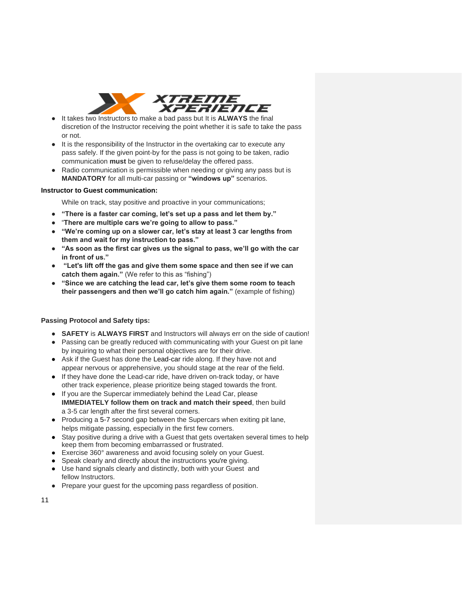

- It takes two Instructors to make a bad pass but It is **ALWAYS** the final discretion of the Instructor receiving the point whether it is safe to take the pass or not.
- It is the responsibility of the Instructor in the overtaking car to execute any pass safely. If the given point-by for the pass is not going to be taken, radio communication **must** be given to refuse/delay the offered pass.
- Radio communication is permissible when needing or giving any pass but is **MANDATORY** for all multi-car passing or **"windows up"** scenarios.

#### **Instructor to Guest communication:**

While on track, stay positive and proactive in your communications;

- **"There is a faster car coming, let's set up a pass and let them by."**
- "**There are multiple cars we're going to allow to pass."**
- **"We're coming up on a slower car, let's stay at least 3 car lengths from them and wait for my instruction to pass."**
- **"As soon as the first car gives us the signal to pass, we'll go with the car in front of us."**
- **"Let's lift off the gas and give them some space and then see if we can catch them again."** (We refer to this as "fishing")
- **"Since we are catching the lead car, let's give them some room to teach their passengers and then we'll go catch him again."** (example of fishing)

### **Passing Protocol and Safety tips:**

- **SAFETY** is **ALWAYS FIRST** and Instructors will always err on the side of caution!
- Passing can be greatly reduced with communicating with your Guest on pit lane by inquiring to what their personal objectives are for their drive.
- Ask if the Guest has done the Lead-car ride along. If they have not and appear nervous or apprehensive, you should stage at the rear of the field.
- If they have done the Lead-car ride, have driven on-track today, or have other track experience, please prioritize being staged towards the front.
- If you are the Supercar immediately behind the Lead Car, please **IMMEDIATELY follow them on track and match their speed**, then build a 3-5 car length after the first several corners.
- Producing a 5-7 second gap between the Supercars when exiting pit lane, helps mitigate passing, especially in the first few corners.
- Stay positive during a drive with a Guest that gets overtaken several times to help keep them from becoming embarrassed or frustrated.
- Exercise 360° awareness and avoid focusing solely on your Guest.
- Speak clearly and directly about the instructions you're giving.
- Use hand signals clearly and distinctly, both with your Guest and fellow Instructors.
- Prepare your guest for the upcoming pass regardless of position.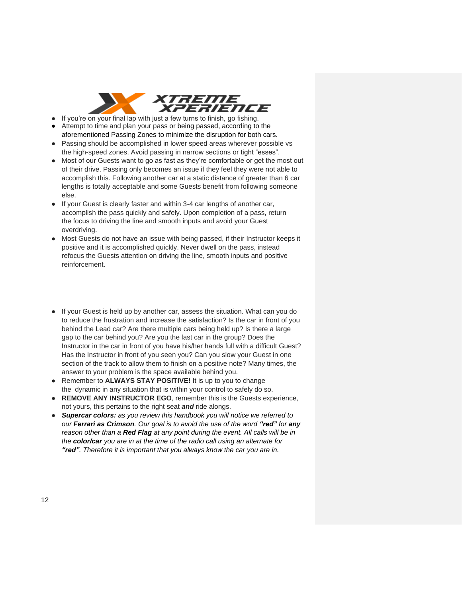

- $\bullet$  If you're on your final lap with just a few turns to finish, go fishing.
- Attempt to time and plan your pass or being passed, according to the aforementioned Passing Zones to minimize the disruption for both cars.
- Passing should be accomplished in lower speed areas wherever possible vs the high-speed zones. Avoid passing in narrow sections or tight "esses".
- Most of our Guests want to go as fast as they're comfortable or get the most out of their drive. Passing only becomes an issue if they feel they were not able to accomplish this. Following another car at a static distance of greater than 6 car lengths is totally acceptable and some Guests benefit from following someone else.
- If your Guest is clearly faster and within 3-4 car lengths of another car, accomplish the pass quickly and safely. Upon completion of a pass, return the focus to driving the line and smooth inputs and avoid your Guest overdriving.
- Most Guests do not have an issue with being passed, if their Instructor keeps it positive and it is accomplished quickly. Never dwell on the pass, instead refocus the Guests attention on driving the line, smooth inputs and positive reinforcement.
- If your Guest is held up by another car, assess the situation. What can you do to reduce the frustration and increase the satisfaction? Is the car in front of you behind the Lead car? Are there multiple cars being held up? Is there a large gap to the car behind you? Are you the last car in the group? Does the Instructor in the car in front of you have his/her hands full with a difficult Guest? Has the Instructor in front of you seen you? Can you slow your Guest in one section of the track to allow them to finish on a positive note? Many times, the answer to your problem is the space available behind you.
- Remember to **ALWAYS STAY POSITIVE!** It is up to you to change the dynamic in any situation that is within your control to safely do so.
- **REMOVE ANY INSTRUCTOR EGO**, remember this is the Guests experience, not yours, this pertains to the right seat *and* ride alongs.
- *Supercar colors: as you review this handbook you will notice we referred to our Ferrari as Crimson. Our goal is to avoid the use of the word "red" for any reason other than a Red Flag at any point during the event. All calls will be in the color/car you are in at the time of the radio call using an alternate for "red". Therefore it is important that you always know the car you are in.*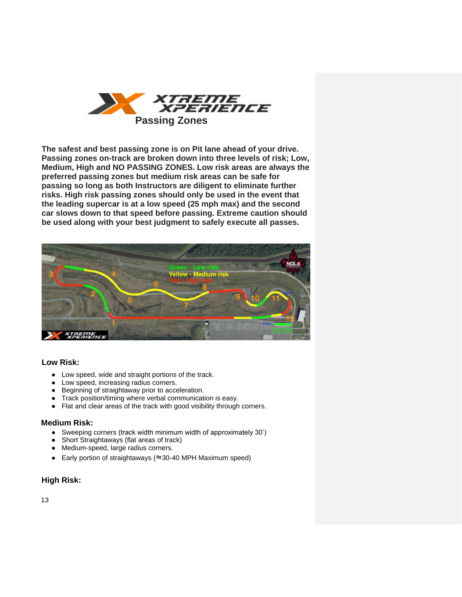

**The safest and best passing zone is on Pit lane ahead of your drive. Passing zones on-track are broken down into three levels of risk; Low, Medium, High and NO PASSING ZONES. Low risk areas are always the preferred passing zones but medium risk areas can be safe for passing so long as both Instructors are diligent to eliminate further risks. High risk passing zones should only be used in the event that the leading supercar is at a low speed (25 mph max) and the second car slows down to that speed before passing. Extreme caution should be used along with your best judgment to safely execute all passes.**



### **Low Risk:**

- Low speed, wide and straight portions of the track.
- Low speed, increasing radius corners.
- Beginning of straightaway prior to acceleration.
- Track position/timing where verbal communication is easy.
- Flat and clear areas of the track with good visibility through corners.

### **Medium Risk:**

- Sweeping corners (track width minimum width of approximately 30')
- Short Straightaways (flat areas of track)
- Medium-speed, large radius corners.
- Early portion of straightaways (≈30-40 MPH Maximum speed)

### **High Risk:**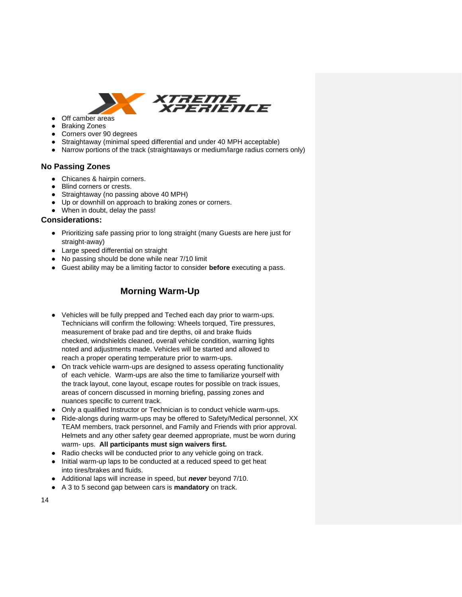

- Off camber areas ● Braking Zones
- Corners over 90 degrees
- Straightaway (minimal speed differential and under 40 MPH acceptable)
- Narrow portions of the track (straightaways or medium/large radius corners only)

## **No Passing Zones**

- Chicanes & hairpin corners.
- Blind corners or crests.
- Straightaway (no passing above 40 MPH)
- Up or downhill on approach to braking zones or corners.
- When in doubt, delay the pass!

#### **Considerations:**

- Prioritizing safe passing prior to long straight (many Guests are here just for straight-away)
- Large speed differential on straight
- No passing should be done while near 7/10 limit
- Guest ability may be a limiting factor to consider **before** executing a pass.

## **Morning Warm-Up**

- Vehicles will be fully prepped and Teched each day prior to warm-ups. Technicians will confirm the following: Wheels torqued, Tire pressures, measurement of brake pad and tire depths, oil and brake fluids checked, windshields cleaned, overall vehicle condition, warning lights noted and adjustments made. Vehicles will be started and allowed to reach a proper operating temperature prior to warm-ups.
- On track vehicle warm-ups are designed to assess operating functionality of each vehicle. Warm-ups are also the time to familiarize yourself with the track layout, cone layout, escape routes for possible on track issues, areas of concern discussed in morning briefing, passing zones and nuances specific to current track.
- Only a qualified Instructor or Technician is to conduct vehicle warm-ups.
- Ride-alongs during warm-ups may be offered to Safety/Medical personnel, XX TEAM members, track personnel, and Family and Friends with prior approval. Helmets and any other safety gear deemed appropriate, must be worn during warm- ups. **All participants must sign waivers first.**
- Radio checks will be conducted prior to any vehicle going on track.
- Initial warm-up laps to be conducted at a reduced speed to get heat into tires/brakes and fluids.
- Additional laps will increase in speed, but *never* beyond 7/10.
- A 3 to 5 second gap between cars is **mandatory** on track.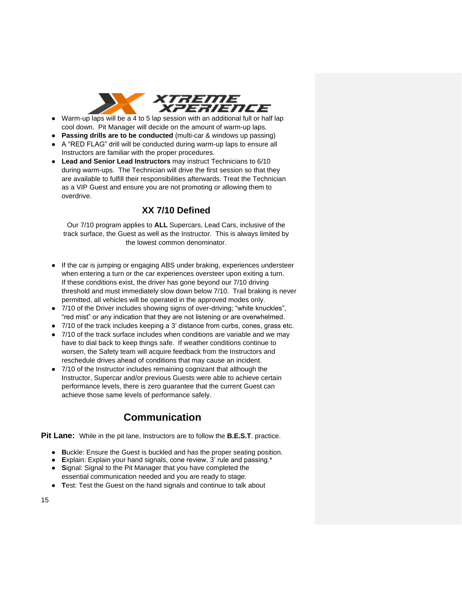

- Warm-up laps will be a 4 to 5 lap session with an additional full or half lap cool down. Pit Manager will decide on the amount of warm-up laps.
- **Passing drills are to be conducted** (multi-car & windows up passing)
- A "RED FLAG" drill will be conducted during warm-up laps to ensure all Instructors are familiar with the proper procedures.
- **Lead and Senior Lead Instructors** may instruct Technicians to 6/10 during warm-ups. The Technician will drive the first session so that they are available to fulfill their responsibilities afterwards. Treat the Technician as a VIP Guest and ensure you are not promoting or allowing them to overdrive.

## **XX 7/10 Defined**

Our 7/10 program applies to **ALL** Supercars, Lead Cars, inclusive of the track surface, the Guest as well as the Instructor. This is always limited by the lowest common denominator.

- If the car is jumping or engaging ABS under braking, experiences understeer when entering a turn or the car experiences oversteer upon exiting a turn. If these conditions exist, the driver has gone beyond our 7/10 driving threshold and must immediately slow down below 7/10. Trail braking is never permitted, all vehicles will be operated in the approved modes only.
- 7/10 of the Driver includes showing signs of over-driving: "white knuckles", "red mist" or any indication that they are not listening or are overwhelmed.
- 7/10 of the track includes keeping a 3' distance from curbs, cones, grass etc.
- 7/10 of the track surface includes when conditions are variable and we may have to dial back to keep things safe. If weather conditions continue to worsen, the Safety team will acquire feedback from the Instructors and reschedule drives ahead of conditions that may cause an incident.
- 7/10 of the Instructor includes remaining cognizant that although the Instructor, Supercar and/or previous Guests were able to achieve certain performance levels, there is zero guarantee that the current Guest can achieve those same levels of performance safely.

# **Communication**

**Pit Lane:** While in the pit lane, Instructors are to follow the **B.E.S.T**. practice.

- **B**uckle: Ensure the Guest is buckled and has the proper seating position.
- **E**xplain: Explain your hand signals, cone review, 3' rule and passing.\*
- **S**ignal: Signal to the Pit Manager that you have completed the essential communication needed and you are ready to stage.
- **T**est: Test the Guest on the hand signals and continue to talk about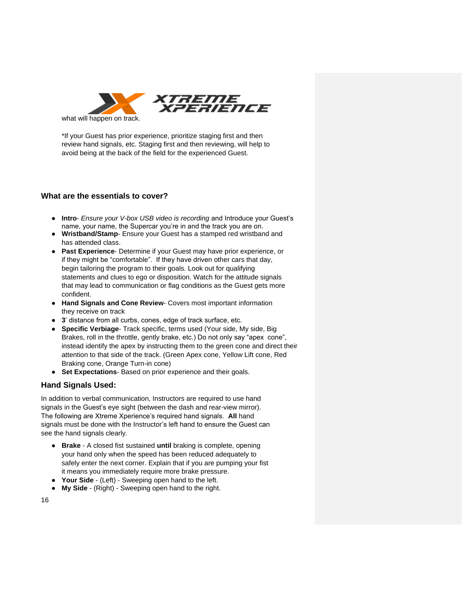

\*If your Guest has prior experience, prioritize staging first and then review hand signals, etc. Staging first and then reviewing, will help to avoid being at the back of the field for the experienced Guest.

## **What are the essentials to cover?**

- **Intro** *Ensure your V-box USB video is recording* and Introduce your Guest's name, your name, the Supercar you're in and the track you are on.
- **Wristband/Stamp** Ensure your Guest has a stamped red wristband and has attended class.
- **Past Experience** Determine if your Guest may have prior experience, or if they might be "comfortable". If they have driven other cars that day, begin tailoring the program to their goals. Look out for qualifying statements and clues to ego or disposition. Watch for the attitude signals that may lead to communication or flag conditions as the Guest gets more confident.
- **Hand Signals and Cone Review** Covers most important information they receive on track
- **3**' distance from all curbs, cones, edge of track surface, etc.
- **Specific Verbiage** Track specific, terms used (Your side, My side, Big Brakes, roll in the throttle, gently brake, etc.) Do not only say "apex cone", instead identify the apex by instructing them to the green cone and direct their attention to that side of the track. (Green Apex cone, Yellow Lift cone, Red Braking cone, Orange Turn-in cone)
- **Set Expectations** Based on prior experience and their goals.

## **Hand Signals Used:**

In addition to verbal communication, Instructors are required to use hand signals in the Guest's eye sight (between the dash and rear-view mirror). The following are Xtreme Xperience's required hand signals. **All** hand signals must be done with the Instructor's left hand to ensure the Guest can see the hand signals clearly.

- **Brake** A closed fist sustained **until** braking is complete, opening your hand only when the speed has been reduced adequately to safely enter the next corner. Explain that if you are pumping your fist it means you immediately require more brake pressure.
- **Your Side** (Left) Sweeping open hand to the left.
- **My Side** (Right) Sweeping open hand to the right.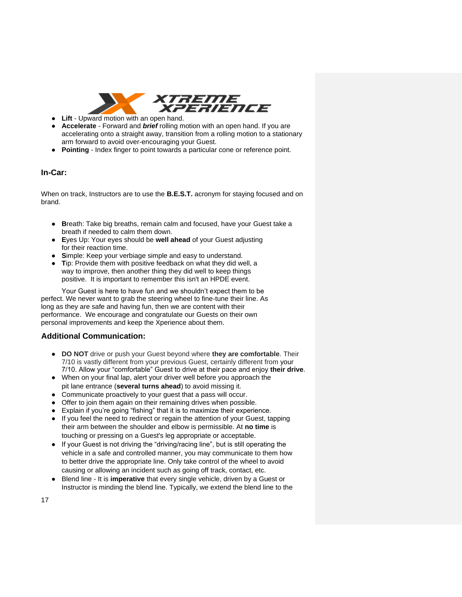

- **Lift** Upward motion with an open hand.
- **Accelerate** Forward and *brief* rolling motion with an open hand. If you are accelerating onto a straight away, transition from a rolling motion to a stationary arm forward to avoid over-encouraging your Guest.
- **Pointing** Index finger to point towards a particular cone or reference point.

## **In-Car:**

When on track, Instructors are to use the **B.E.S.T.** acronym for staying focused and on brand.

- **B**reath: Take big breaths, remain calm and focused, have your Guest take a breath if needed to calm them down.
- **E**yes Up: Your eyes should be **well ahead** of your Guest adjusting for their reaction time.
- **S**imple: Keep your verbiage simple and easy to understand.
- **T**ip: Provide them with positive feedback on what they did well, a way to improve, then another thing they did well to keep things positive. It is important to remember this isn't an HPDE event.

Your Guest is here to have fun and we shouldn't expect them to be perfect. We never want to grab the steering wheel to fine-tune their line. As long as they are safe and having fun, then we are content with their performance. We encourage and congratulate our Guests on their own personal improvements and keep the Xperience about them.

## **Additional Communication:**

- **DO NOT** drive or push your Guest beyond where **they are comfortable**. Their 7/10 is vastly different from your previous Guest, certainly different from your 7/10. Allow your "comfortable" Guest to drive at their pace and enjoy **their drive**.
- When on your final lap, alert your driver well before you approach the pit lane entrance (**several turns ahead**) to avoid missing it.
- Communicate proactively to your guest that a pass will occur.
- Offer to join them again on their remaining drives when possible.
- Explain if you're going "fishing" that it is to maximize their experience.
- If you feel the need to redirect or regain the attention of your Guest, tapping their arm between the shoulder and elbow is permissible. At **no time** is touching or pressing on a Guest's leg appropriate or acceptable.
- If your Guest is not driving the "driving/racing line", but is still operating the vehicle in a safe and controlled manner, you may communicate to them how to better drive the appropriate line. Only take control of the wheel to avoid causing or allowing an incident such as going off track, contact, etc.
- Blend line It is **imperative** that every single vehicle, driven by a Guest or Instructor is minding the blend line. Typically, we extend the blend line to the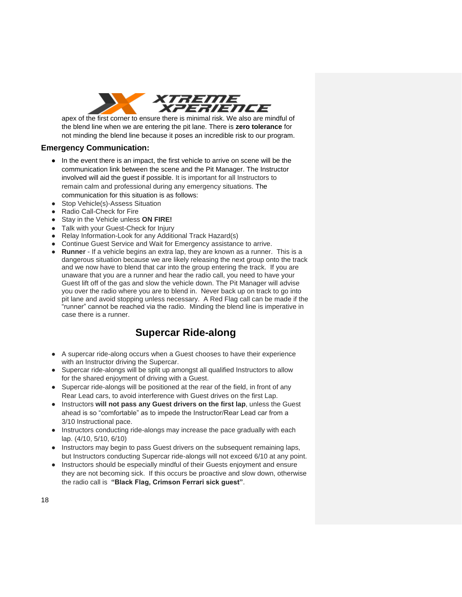

apex of the first corner to ensure there is minimal risk. We also are mindful of the blend line when we are entering the pit lane. There is **zero tolerance** for not minding the blend line because it poses an incredible risk to our program.

## **Emergency Communication:**

- In the event there is an impact, the first vehicle to arrive on scene will be the communication link between the scene and the Pit Manager. The Instructor involved will aid the guest if possible. It is important for all Instructors to remain calm and professional during any emergency situations. The communication for this situation is as follows:
- Stop Vehicle(s)-Assess Situation
- **Radio Call-Check for Fire**
- Stay in the Vehicle unless **ON FIRE!**
- Talk with your Guest-Check for Injury
- Relay Information-Look for any Additional Track Hazard(s)
- Continue Guest Service and Wait for Emergency assistance to arrive.
- **Runner**  If a vehicle begins an extra lap, they are known as a runner. This is a dangerous situation because we are likely releasing the next group onto the track and we now have to blend that car into the group entering the track. If you are unaware that you are a runner and hear the radio call, you need to have your Guest lift off of the gas and slow the vehicle down. The Pit Manager will advise you over the radio where you are to blend in. Never back up on track to go into pit lane and avoid stopping unless necessary. A Red Flag call can be made if the "runner" cannot be reached via the radio. Minding the blend line is imperative in case there is a runner.

# **Supercar Ride-along**

- A supercar ride-along occurs when a Guest chooses to have their experience with an Instructor driving the Supercar.
- Supercar ride-alongs will be split up amongst all qualified Instructors to allow for the shared enjoyment of driving with a Guest.
- Supercar ride-alongs will be positioned at the rear of the field, in front of any Rear Lead cars, to avoid interference with Guest drives on the first Lap.
- Instructors **will not pass any Guest drivers on the first lap**, unless the Guest ahead is so "comfortable" as to impede the Instructor/Rear Lead car from a 3/10 Instructional pace.
- Instructors conducting ride-alongs may increase the pace gradually with each lap. (4/10, 5/10, 6/10)
- Instructors may begin to pass Guest drivers on the subsequent remaining laps, but Instructors conducting Supercar ride-alongs will not exceed 6/10 at any point.
- Instructors should be especially mindful of their Guests enjoyment and ensure they are not becoming sick. If this occurs be proactive and slow down, otherwise the radio call is **"Black Flag, Crimson Ferrari sick guest"**.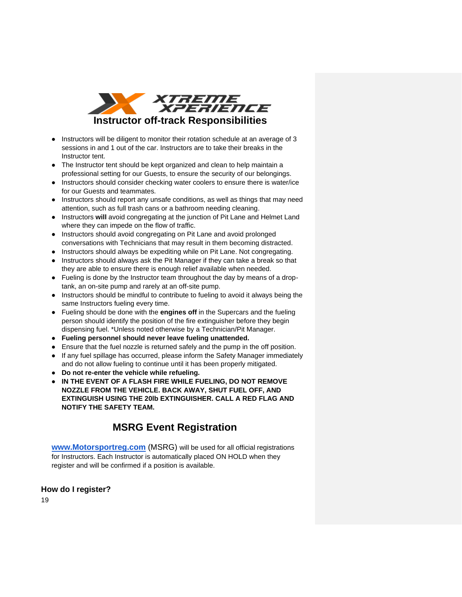

- Instructors will be diligent to monitor their rotation schedule at an average of 3 sessions in and 1 out of the car. Instructors are to take their breaks in the Instructor tent.
- The Instructor tent should be kept organized and clean to help maintain a professional setting for our Guests, to ensure the security of our belongings.
- Instructors should consider checking water coolers to ensure there is water/ice for our Guests and teammates.
- Instructors should report any unsafe conditions, as well as things that may need attention, such as full trash cans or a bathroom needing cleaning.
- Instructors **will** avoid congregating at the junction of Pit Lane and Helmet Land where they can impede on the flow of traffic.
- Instructors should avoid congregating on Pit Lane and avoid prolonged conversations with Technicians that may result in them becoming distracted.
- Instructors should always be expediting while on Pit Lane. Not congregating.
- Instructors should always ask the Pit Manager if they can take a break so that they are able to ensure there is enough relief available when needed.
- Fueling is done by the Instructor team throughout the day by means of a droptank, an on-site pump and rarely at an off-site pump.
- Instructors should be mindful to contribute to fueling to avoid it always being the same Instructors fueling every time.
- Fueling should be done with the **engines off** in the Supercars and the fueling person should identify the position of the fire extinguisher before they begin dispensing fuel. \*Unless noted otherwise by a Technician/Pit Manager.
- **Fueling personnel should never leave fueling unattended.**
- Ensure that the fuel nozzle is returned safely and the pump in the off position.
- If any fuel spillage has occurred, please inform the Safety Manager immediately and do not allow fueling to continue until it has been properly mitigated.
- **Do not re-enter the vehicle while refueling.**
- **IN THE EVENT OF A FLASH FIRE WHILE FUELING, DO NOT REMOVE NOZZLE FROM THE VEHICLE. BACK AWAY, SHUT FUEL OFF, AND EXTINGUISH USING THE 20lb EXTINGUISHER. CALL A RED FLAG AND NOTIFY THE SAFETY TEAM.**

# **MSRG Event Registration**

**[www.Motorsportreg.com](http://www.motorsportreg.com/)** (MSRG) will be used for all official registrations for Instructors. Each Instructor is automatically placed ON HOLD when they register and will be confirmed if a position is available.

## **How do I register?**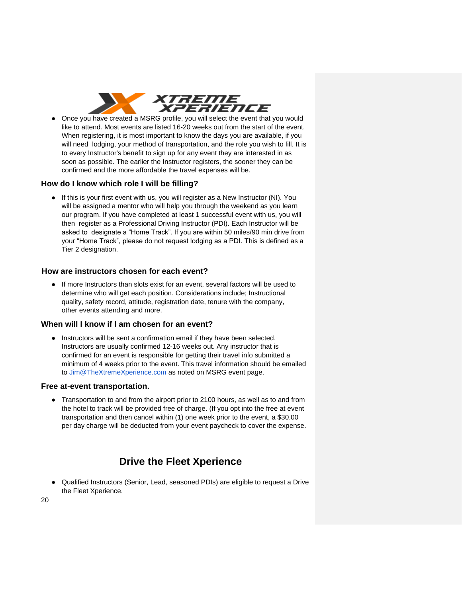

● Once you have created a MSRG profile, you will select the event that you would like to attend. Most events are listed 16-20 weeks out from the start of the event. When registering, it is most important to know the days you are available, if you will need lodging, your method of transportation, and the role you wish to fill. It is to every Instructor's benefit to sign up for any event they are interested in as soon as possible. The earlier the Instructor registers, the sooner they can be confirmed and the more affordable the travel expenses will be.

### **How do I know which role I will be filling?**

● If this is your first event with us, you will register as a New Instructor (NI). You will be assigned a mentor who will help you through the weekend as you learn our program. If you have completed at least 1 successful event with us, you will then register as a Professional Driving Instructor (PDI). Each Instructor will be asked to designate a "Home Track". If you are within 50 miles/90 min drive from your "Home Track", please do not request lodging as a PDI. This is defined as a Tier 2 designation.

#### **How are instructors chosen for each event?**

● If more Instructors than slots exist for an event, several factors will be used to determine who will get each position. Considerations include; Instructional quality, safety record, attitude, registration date, tenure with the company, other events attending and more.

#### **When will I know if I am chosen for an event?**

● Instructors will be sent a confirmation email if they have been selected. Instructors are usually confirmed 12-16 weeks out. Any instructor that is confirmed for an event is responsible for getting their travel info submitted a minimum of 4 weeks prior to the event. This travel information should be emailed to [Jim@TheXtremeXperience.com](mailto:Jim@TheXtremeXperience.com) as noted on MSRG event page.

#### **Free at-event transportation.**

● Transportation to and from the airport prior to 2100 hours, as well as to and from the hotel to track will be provided free of charge. (If you opt into the free at event transportation and then cancel within (1) one week prior to the event, a \$30.00 per day charge will be deducted from your event paycheck to cover the expense.

# **Drive the Fleet Xperience**

● Qualified Instructors (Senior, Lead, seasoned PDIs) are eligible to request a Drive the Fleet Xperience.

20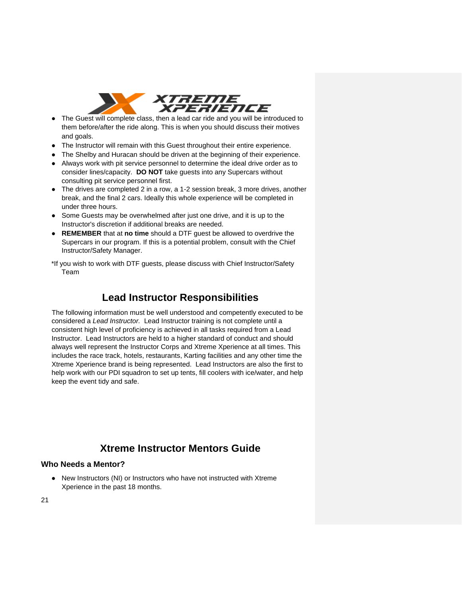

- The Guest will complete class, then a lead car ride and you will be introduced to them before/after the ride along. This is when you should discuss their motives and goals.
- The Instructor will remain with this Guest throughout their entire experience.
- The Shelby and Huracan should be driven at the beginning of their experience.
- Always work with pit service personnel to determine the ideal drive order as to consider lines/capacity. **DO NOT** take guests into any Supercars without consulting pit service personnel first.
- The drives are completed 2 in a row, a 1-2 session break, 3 more drives, another break, and the final 2 cars. Ideally this whole experience will be completed in under three hours.
- Some Guests may be overwhelmed after just one drive, and it is up to the Instructor's discretion if additional breaks are needed.
- **REMEMBER** that at **no time** should a DTF guest be allowed to overdrive the Supercars in our program. If this is a potential problem, consult with the Chief Instructor/Safety Manager.
- \*If you wish to work with DTF guests, please discuss with Chief Instructor/Safety Team

## **Lead Instructor Responsibilities**

The following information must be well understood and competently executed to be considered a *Lead Instructor.* Lead Instructor training is not complete until a consistent high level of proficiency is achieved in all tasks required from a Lead Instructor. Lead Instructors are held to a higher standard of conduct and should always well represent the Instructor Corps and Xtreme Xperience at all times. This includes the race track, hotels, restaurants, Karting facilities and any other time the Xtreme Xperience brand is being represented. Lead Instructors are also the first to help work with our PDI squadron to set up tents, fill coolers with ice/water, and help keep the event tidy and safe.

# **Xtreme Instructor Mentors Guide**

## **Who Needs a Mentor?**

● New Instructors (NI) or Instructors who have not instructed with Xtreme Xperience in the past 18 months.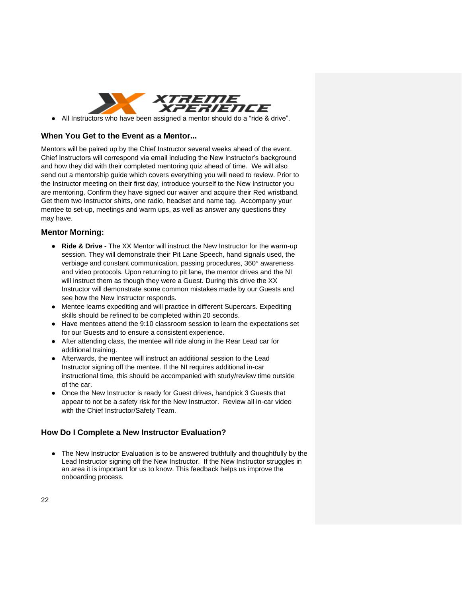

● All Instructors who have been assigned a mentor should do a "ride & drive".

### **When You Get to the Event as a Mentor...**

Mentors will be paired up by the Chief Instructor several weeks ahead of the event. Chief Instructors will correspond via email including the New Instructor's background and how they did with their completed mentoring quiz ahead of time. We will also send out a mentorship guide which covers everything you will need to review. Prior to the Instructor meeting on their first day, introduce yourself to the New Instructor you are mentoring. Confirm they have signed our waiver and acquire their Red wristband. Get them two Instructor shirts, one radio, headset and name tag. Accompany your mentee to set-up, meetings and warm ups, as well as answer any questions they may have.

## **Mentor Morning:**

- **Ride & Drive** The XX Mentor will instruct the New Instructor for the warm-up session. They will demonstrate their Pit Lane Speech, hand signals used, the verbiage and constant communication, passing procedures, 360° awareness and video protocols. Upon returning to pit lane, the mentor drives and the NI will instruct them as though they were a Guest. During this drive the XX Instructor will demonstrate some common mistakes made by our Guests and see how the New Instructor responds.
- Mentee learns expediting and will practice in different Supercars. Expediting skills should be refined to be completed within 20 seconds.
- Have mentees attend the 9:10 classroom session to learn the expectations set for our Guests and to ensure a consistent experience.
- After attending class, the mentee will ride along in the Rear Lead car for additional training.
- Afterwards, the mentee will instruct an additional session to the Lead Instructor signing off the mentee. If the NI requires additional in-car instructional time, this should be accompanied with study/review time outside of the car.
- Once the New Instructor is ready for Guest drives, handpick 3 Guests that appear to not be a safety risk for the New Instructor. Review all in-car video with the Chief Instructor/Safety Team.

## **How Do I Complete a New Instructor Evaluation?**

● The New Instructor Evaluation is to be answered truthfully and thoughtfully by the Lead Instructor signing off the New Instructor. If the New Instructor struggles in an area it is important for us to know. This feedback helps us improve the onboarding process.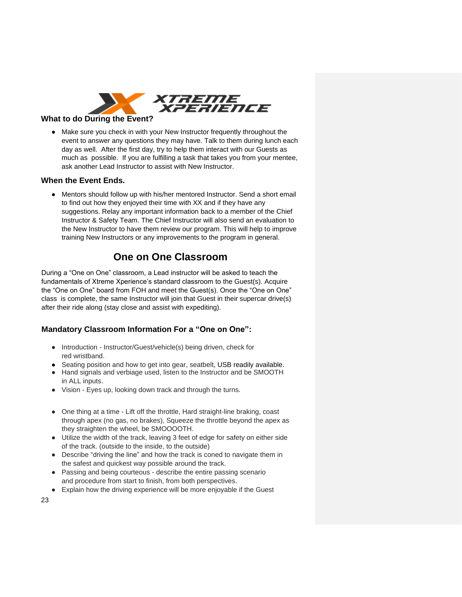

## **What to do During the Event?**

● Make sure you check in with your New Instructor frequently throughout the event to answer any questions they may have. Talk to them during lunch each day as well. After the first day, try to help them interact with our Guests as much as possible. If you are fulfilling a task that takes you from your mentee, ask another Lead Instructor to assist with New Instructor.

## **When the Event Ends.**

● Mentors should follow up with his/her mentored Instructor. Send a short email to find out how they enjoyed their time with XX and if they have any suggestions. Relay any important information back to a member of the Chief Instructor & Safety Team. The Chief Instructor will also send an evaluation to the New Instructor to have them review our program. This will help to improve training New Instructors or any improvements to the program in general.

# **One on One Classroom**

During a "One on One" classroom, a Lead instructor will be asked to teach the fundamentals of Xtreme Xperience's standard classroom to the Guest(s). Acquire the "One on One" board from FOH and meet the Guest(s). Once the "One on One" class is complete, the same Instructor will join that Guest in their supercar drive(s) after their ride along (stay close and assist with expediting).

## **Mandatory Classroom Information For a "One on One":**

- Introduction Instructor/Guest/vehicle(s) being driven, check for red wristband.
- Seating position and how to get into gear, seatbelt, USB readily available.
- Hand signals and verbiage used, listen to the Instructor and be SMOOTH in ALL inputs.
- Vision Eyes up, looking down track and through the turns.
- One thing at a time Lift off the throttle, Hard straight-line braking, coast through apex (no gas, no brakes), Squeeze the throttle beyond the apex as they straighten the wheel, be SMOOOOTH.
- Utilize the width of the track, leaving 3 feet of edge for safety on either side of the track. (outside to the inside, to the outside)
- Describe "driving the line" and how the track is coned to navigate them in the safest and quickest way possible around the track.
- Passing and being courteous describe the entire passing scenario and procedure from start to finish, from both perspectives.
- Explain how the driving experience will be more enjoyable if the Guest

23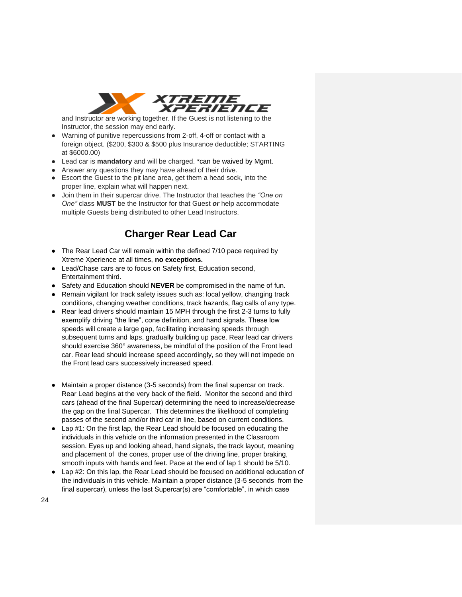

and Instructor are working together. If the Guest is not listening to the Instructor, the session may end early.

- Warning of punitive repercussions from 2-off, 4-off or contact with a foreign object. (\$200, \$300 & \$500 plus Insurance deductible; STARTING at \$6000.00)
- Lead car is **mandatory** and will be charged. \*can be waived by Mgmt.
- Answer any questions they may have ahead of their drive.
- Escort the Guest to the pit lane area, get them a head sock, into the proper line, explain what will happen next.
- Join them in their supercar drive. The Instructor that teaches the *"One on One"* class **MUST** be the Instructor for that Guest *or* help accommodate multiple Guests being distributed to other Lead Instructors.

# **Charger Rear Lead Car**

- The Rear Lead Car will remain within the defined 7/10 pace required by Xtreme Xperience at all times, **no exceptions.**
- Lead/Chase cars are to focus on Safety first, Education second, Entertainment third.
- Safety and Education should **NEVER** be compromised in the name of fun.
- Remain vigilant for track safety issues such as: local yellow, changing track conditions, changing weather conditions, track hazards, flag calls of any type.
- Rear lead drivers should maintain 15 MPH through the first 2-3 turns to fully exemplify driving "the line", cone definition, and hand signals. These low speeds will create a large gap, facilitating increasing speeds through subsequent turns and laps, gradually building up pace. Rear lead car drivers should exercise 360° awareness, be mindful of the position of the Front lead car. Rear lead should increase speed accordingly, so they will not impede on the Front lead cars successively increased speed.
- Maintain a proper distance (3-5 seconds) from the final supercar on track. Rear Lead begins at the very back of the field. Monitor the second and third cars (ahead of the final Supercar) determining the need to increase/decrease the gap on the final Supercar. This determines the likelihood of completing passes of the second and/or third car in line, based on current conditions.
- Lap #1: On the first lap, the Rear Lead should be focused on educating the individuals in this vehicle on the information presented in the Classroom session. Eyes up and looking ahead, hand signals, the track layout, meaning and placement of the cones, proper use of the driving line, proper braking, smooth inputs with hands and feet. Pace at the end of lap 1 should be 5/10.
- Lap #2: On this lap, the Rear Lead should be focused on additional education of the individuals in this vehicle. Maintain a proper distance (3-5 seconds from the final supercar), unless the last Supercar(s) are "comfortable", in which case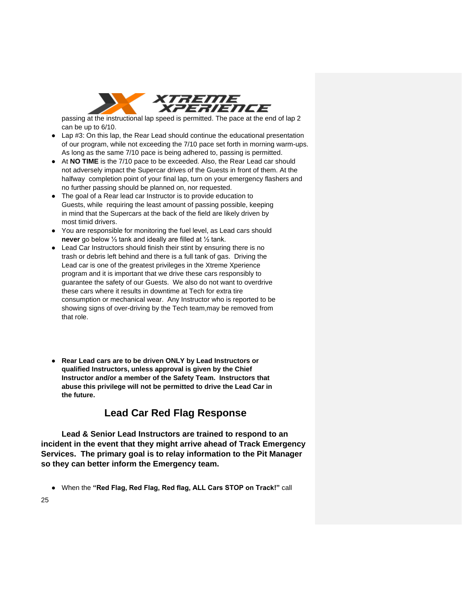

passing at the instructional lap speed is permitted. The pace at the end of lap 2 can be up to 6/10.

- Lap #3: On this lap, the Rear Lead should continue the educational presentation of our program, while not exceeding the 7/10 pace set forth in morning warm-ups. As long as the same 7/10 pace is being adhered to, passing is permitted.
- At **NO TIME** is the 7/10 pace to be exceeded. Also, the Rear Lead car should not adversely impact the Supercar drives of the Guests in front of them. At the halfway completion point of your final lap, turn on your emergency flashers and no further passing should be planned on, nor requested.
- The goal of a Rear lead car Instructor is to provide education to Guests, while requiring the least amount of passing possible, keeping in mind that the Supercars at the back of the field are likely driven by most timid drivers.
- You are responsible for monitoring the fuel level, as Lead cars should **never** go below ⅓ tank and ideally are filled at ½ tank.
- Lead Car Instructors should finish their stint by ensuring there is no trash or debris left behind and there is a full tank of gas. Driving the Lead car is one of the greatest privileges in the Xtreme Xperience program and it is important that we drive these cars responsibly to guarantee the safety of our Guests. We also do not want to overdrive these cars where it results in downtime at Tech for extra tire consumption or mechanical wear. Any Instructor who is reported to be showing signs of over-driving by the Tech team,may be removed from that role.
- **Rear Lead cars are to be driven ONLY by Lead Instructors or qualified Instructors, unless approval is given by the Chief Instructor and/or a member of the Safety Team. Instructors that abuse this privilege will not be permitted to drive the Lead Car in the future.**

# **Lead Car Red Flag Response**

**Lead & Senior Lead Instructors are trained to respond to an incident in the event that they might arrive ahead of Track Emergency Services. The primary goal is to relay information to the Pit Manager so they can better inform the Emergency team.** 

● When the **"Red Flag, Red Flag, Red flag, ALL Cars STOP on Track!"** call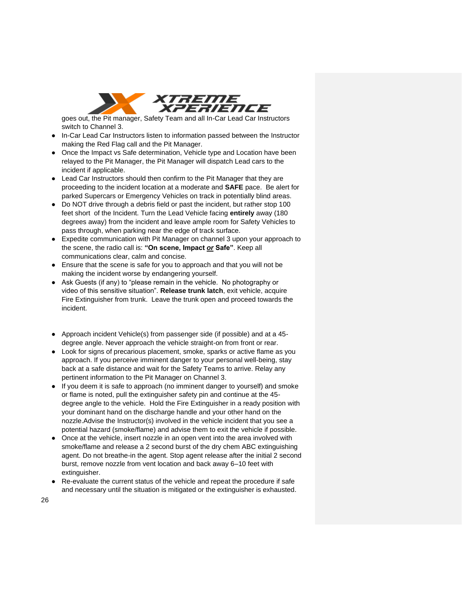

goes out, the Pit manager, Safety Team and all In-Car Lead Car Instructors switch to Channel 3.

- In-Car Lead Car Instructors listen to information passed between the Instructor making the Red Flag call and the Pit Manager.
- Once the Impact vs Safe determination, Vehicle type and Location have been relayed to the Pit Manager, the Pit Manager will dispatch Lead cars to the incident if applicable.
- Lead Car Instructors should then confirm to the Pit Manager that they are proceeding to the incident location at a moderate and **SAFE** pace. Be alert for parked Supercars or Emergency Vehicles on track in potentially blind areas.
- Do NOT drive through a debris field or past the incident, but rather stop 100 feet short of the Incident. Turn the Lead Vehicle facing **entirely** away (180 degrees away) from the incident and leave ample room for Safety Vehicles to pass through, when parking near the edge of track surface.
- Expedite communication with Pit Manager on channel 3 upon your approach to the scene, the radio call is: **"On scene, Impact** *or* **Safe"**. Keep all communications clear, calm and concise.
- Ensure that the scene is safe for you to approach and that you will not be making the incident worse by endangering yourself.
- Ask Guests (if any) to "please remain in the vehicle. No photography or video of this sensitive situation". **Release trunk latch**, exit vehicle, acquire Fire Extinguisher from trunk. Leave the trunk open and proceed towards the incident.
- Approach incident Vehicle(s) from passenger side (if possible) and at a 45 degree angle. Never approach the vehicle straight-on from front or rear.
- Look for signs of precarious placement, smoke, sparks or active flame as you approach. If you perceive imminent danger to your personal well-being, stay back at a safe distance and wait for the Safety Teams to arrive. Relay any pertinent information to the Pit Manager on Channel 3.
- If you deem it is safe to approach (no imminent danger to yourself) and smoke or flame is noted, pull the extinguisher safety pin and continue at the 45 degree angle to the vehicle. Hold the Fire Extinguisher in a ready position with your dominant hand on the discharge handle and your other hand on the nozzle.Advise the Instructor(s) involved in the vehicle incident that you see a potential hazard (smoke/flame) and advise them to exit the vehicle if possible.
- Once at the vehicle, insert nozzle in an open vent into the area involved with smoke/flame and release a 2 second burst of the dry chem ABC extinguishing agent. Do not breathe-in the agent. Stop agent release after the initial 2 second burst, remove nozzle from vent location and back away 6–10 feet with extinguisher.
- Re-evaluate the current status of the vehicle and repeat the procedure if safe and necessary until the situation is mitigated or the extinguisher is exhausted.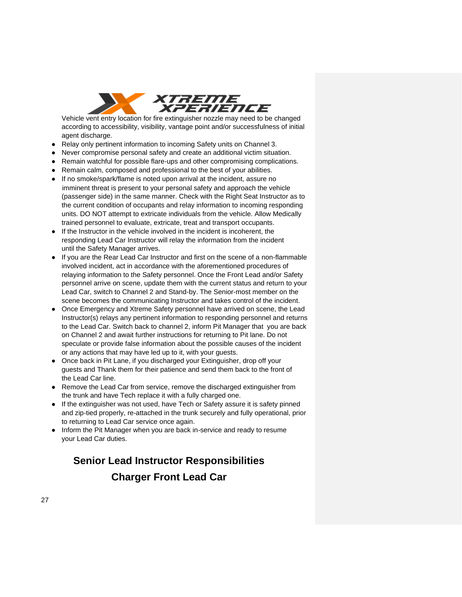

Vehicle vent entry location for fire extinguisher nozzle may need to be changed according to accessibility, visibility, vantage point and/or successfulness of initial agent discharge.

- Relay only pertinent information to incoming Safety units on Channel 3.
- Never compromise personal safety and create an additional victim situation.
- Remain watchful for possible flare-ups and other compromising complications.
- Remain calm, composed and professional to the best of your abilities.
- If no smoke/spark/flame is noted upon arrival at the incident, assure no imminent threat is present to your personal safety and approach the vehicle (passenger side) in the same manner. Check with the Right Seat Instructor as to the current condition of occupants and relay information to incoming responding units. DO NOT attempt to extricate individuals from the vehicle. Allow Medically trained personnel to evaluate, extricate, treat and transport occupants.
- If the Instructor in the vehicle involved in the incident is incoherent, the responding Lead Car Instructor will relay the information from the incident until the Safety Manager arrives.
- If you are the Rear Lead Car Instructor and first on the scene of a non-flammable involved incident, act in accordance with the aforementioned procedures of relaying information to the Safety personnel. Once the Front Lead and/or Safety personnel arrive on scene, update them with the current status and return to your Lead Car, switch to Channel 2 and Stand-by. The Senior-most member on the scene becomes the communicating Instructor and takes control of the incident.
- Once Emergency and Xtreme Safety personnel have arrived on scene, the Lead Instructor(s) relays any pertinent information to responding personnel and returns to the Lead Car. Switch back to channel 2, inform Pit Manager that you are back on Channel 2 and await further instructions for returning to Pit lane. Do not speculate or provide false information about the possible causes of the incident or any actions that may have led up to it, with your guests.
- Once back in Pit Lane, if you discharged your Extinguisher, drop off your guests and Thank them for their patience and send them back to the front of the Lead Car line.
- Remove the Lead Car from service, remove the discharged extinguisher from the trunk and have Tech replace it with a fully charged one.
- If the extinguisher was not used, have Tech or Safety assure it is safety pinned and zip-tied properly, re-attached in the trunk securely and fully operational, prior to returning to Lead Car service once again.
- Inform the Pit Manager when you are back in-service and ready to resume your Lead Car duties.

# **Senior Lead Instructor Responsibilities**

# **Charger Front Lead Car**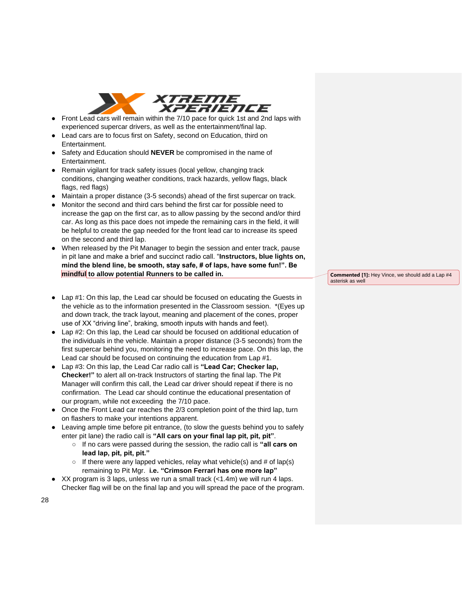

- Front Lead cars will remain within the 7/10 pace for quick 1st and 2nd laps with experienced supercar drivers, as well as the entertainment/final lap.
- Lead cars are to focus first on Safety, second on Education, third on Entertainment.
- Safety and Education should **NEVER** be compromised in the name of Entertainment.
- Remain vigilant for track safety issues (local yellow, changing track conditions, changing weather conditions, track hazards, yellow flags, black flags, red flags)
- Maintain a proper distance (3-5 seconds) ahead of the first supercar on track.
- Monitor the second and third cars behind the first car for possible need to increase the gap on the first car, as to allow passing by the second and/or third car. As long as this pace does not impede the remaining cars in the field, it will be helpful to create the gap needed for the front lead car to increase its speed on the second and third lap.
- When released by the Pit Manager to begin the session and enter track, pause in pit lane and make a brief and succinct radio call. "**Instructors, blue lights on, mind the blend line, be smooth, stay safe, # of laps, have some fun!". Be mindful to allow potential Runners to be called in.**
	- asterisk as well

**Commented [1]:** Hey Vince, we should add a Lap #4

- Lap #1: On this lap, the Lead car should be focused on educating the Guests in the vehicle as to the information presented in the Classroom session. \*(Eyes up and down track, the track layout, meaning and placement of the cones, proper use of XX "driving line", braking, smooth inputs with hands and feet).
- Lap #2: On this lap, the Lead car should be focused on additional education of the individuals in the vehicle. Maintain a proper distance (3-5 seconds) from the first supercar behind you, monitoring the need to increase pace. On this lap, the Lead car should be focused on continuing the education from Lap #1.
- Lap #3: On this lap, the Lead Car radio call is **"Lead Car; Checker lap, Checker!"** to alert all on-track Instructors of starting the final lap. The Pit Manager will confirm this call, the Lead car driver should repeat if there is no confirmation. The Lead car should continue the educational presentation of our program, while not exceeding the 7/10 pace.
- Once the Front Lead car reaches the 2/3 completion point of the third lap, turn on flashers to make your intentions apparent.
- Leaving ample time before pit entrance, (to slow the guests behind you to safely enter pit lane) the radio call is **"All cars on your final lap pit, pit, pit"**.
	- If no cars were passed during the session, the radio call is **"all cars on lead lap, pit, pit, pit."**
	- $\circ$  If there were any lapped vehicles, relay what vehicle(s) and # of lap(s) remaining to Pit Mgr. **i.e. "Crimson Ferrari has one more lap"**
- $\bullet$  XX program is 3 laps, unless we run a small track (<1.4m) we will run 4 laps. Checker flag will be on the final lap and you will spread the pace of the program.

28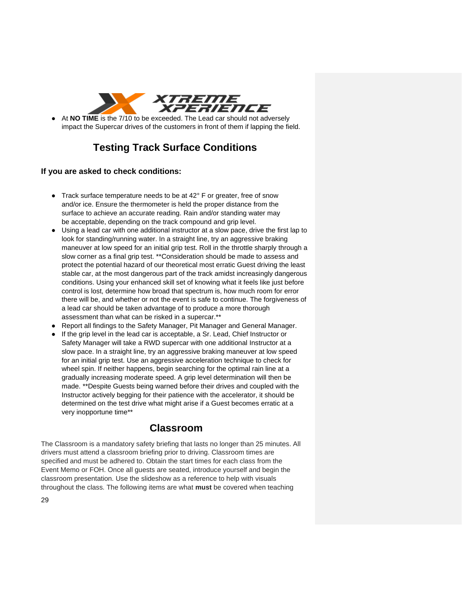

At **NO TIME** is the 7/10 to be exceeded. The Lead car should not adversely impact the Supercar drives of the customers in front of them if lapping the field.

# **Testing Track Surface Conditions**

## **If you are asked to check conditions:**

- Track surface temperature needs to be at 42° F or greater, free of snow and/or ice. Ensure the thermometer is held the proper distance from the surface to achieve an accurate reading. Rain and/or standing water may be acceptable, depending on the track compound and grip level.
- Using a lead car with one additional instructor at a slow pace, drive the first lap to look for standing/running water. In a straight line, try an aggressive braking maneuver at low speed for an initial grip test. Roll in the throttle sharply through a slow corner as a final grip test. \*\*Consideration should be made to assess and protect the potential hazard of our theoretical most erratic Guest driving the least stable car, at the most dangerous part of the track amidst increasingly dangerous conditions. Using your enhanced skill set of knowing what it feels like just before control is lost, determine how broad that spectrum is, how much room for error there will be, and whether or not the event is safe to continue. The forgiveness of a lead car should be taken advantage of to produce a more thorough assessment than what can be risked in a supercar.\*\*
- Report all findings to the Safety Manager, Pit Manager and General Manager.
- If the grip level in the lead car is acceptable, a Sr. Lead, Chief Instructor or Safety Manager will take a RWD supercar with one additional Instructor at a slow pace. In a straight line, try an aggressive braking maneuver at low speed for an initial grip test. Use an aggressive acceleration technique to check for wheel spin. If neither happens, begin searching for the optimal rain line at a gradually increasing moderate speed. A grip level determination will then be made. \*\*Despite Guests being warned before their drives and coupled with the Instructor actively begging for their patience with the accelerator, it should be determined on the test drive what might arise if a Guest becomes erratic at a very inopportune time\*\*

## **Classroom**

The Classroom is a mandatory safety briefing that lasts no longer than 25 minutes. All drivers must attend a classroom briefing prior to driving. Classroom times are specified and must be adhered to. Obtain the start times for each class from the Event Memo or FOH. Once all guests are seated, introduce yourself and begin the classroom presentation. Use the slideshow as a reference to help with visuals throughout the class. The following items are what **must** be covered when teaching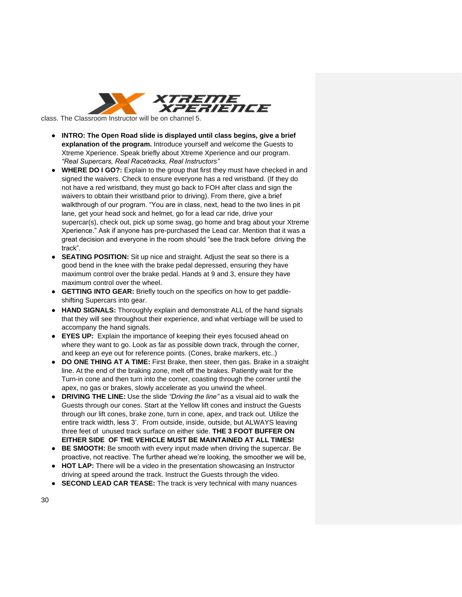

class. The Classroom Instructor will be on channel 5.

- **INTRO: The Open Road slide is displayed until class begins, give a brief explanation of the program.** Introduce yourself and welcome the Guests to Xtreme Xperience. Speak briefly about Xtreme Xperience and our program. *"Real Supercars, Real Racetracks, Real Instructors"*
- **WHERE DO I GO?:** Explain to the group that first they must have checked in and signed the waivers. Check to ensure everyone has a red wristband. (If they do not have a red wristband, they must go back to FOH after class and sign the waivers to obtain their wristband prior to driving). From there, give a brief walkthrough of our program. "You are in class, next, head to the two lines in pit lane, get your head sock and helmet, go for a lead car ride, drive your supercar(s), check out, pick up some swag, go home and brag about your Xtreme Xperience." Ask if anyone has pre-purchased the Lead car. Mention that it was a great decision and everyone in the room should "see the track before driving the track".
- **SEATING POSITION:** Sit up nice and straight. Adjust the seat so there is a good bend in the knee with the brake pedal depressed, ensuring they have maximum control over the brake pedal. Hands at 9 and 3, ensure they have maximum control over the wheel.
- **GETTING INTO GEAR:** Briefly touch on the specifics on how to get paddleshifting Supercars into gear.
- **HAND SIGNALS:** Thoroughly explain and demonstrate ALL of the hand signals that they will see throughout their experience, and what verbiage will be used to accompany the hand signals.
- **EYES UP:** Explain the importance of keeping their eyes focused ahead on where they want to go. Look as far as possible down track, through the corner, and keep an eye out for reference points. (Cones, brake markers, etc..)
- **DO ONE THING AT A TIME:** First Brake, then steer, then gas. Brake in a straight line. At the end of the braking zone, melt off the brakes. Patiently wait for the Turn-in cone and then turn into the corner, coasting through the corner until the apex, no gas or brakes, slowly accelerate as you unwind the wheel.
- **DRIVING THE LINE:** Use the slide *"Driving the line"* as a visual aid to walk the Guests through our cones. Start at the Yellow lift cones and instruct the Guests through our lift cones, brake zone, turn in cone, apex, and track out. Utilize the entire track width, less 3'. From outside, inside, outside, but ALWAYS leaving three feet of unused track surface on either side. **THE 3 FOOT BUFFER ON EITHER SIDE OF THE VEHICLE MUST BE MAINTAINED AT ALL TIMES!**
- **BE SMOOTH:** Be smooth with every input made when driving the supercar. Be proactive, not reactive. The further ahead we're looking, the smoother we will be,
- **HOT LAP:** There will be a video in the presentation showcasing an Instructor driving at speed around the track. Instruct the Guests through the video.
- **SECOND LEAD CAR TEASE:** The track is very technical with many nuances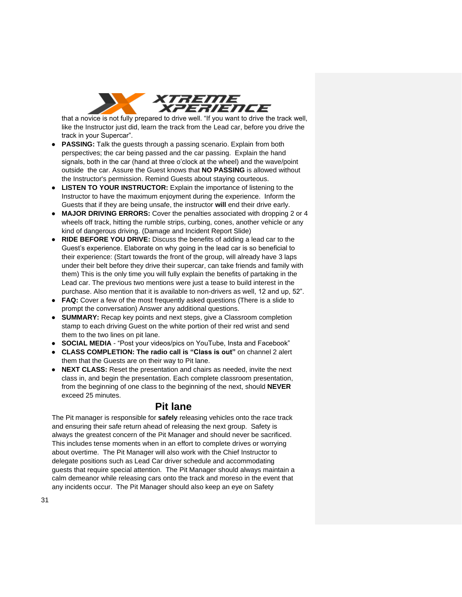

that a novice is not fully prepared to drive well. "If you want to drive the track well, like the Instructor just did, learn the track from the Lead car, before you drive the track in your Supercar".

- **PASSING:** Talk the guests through a passing scenario. Explain from both perspectives; the car being passed and the car passing. Explain the hand signals, both in the car (hand at three o'clock at the wheel) and the wave/point outside the car. Assure the Guest knows that **NO PASSING** is allowed without the Instructor's permission. Remind Guests about staying courteous.
- **LISTEN TO YOUR INSTRUCTOR:** Explain the importance of listening to the Instructor to have the maximum enjoyment during the experience. Inform the Guests that if they are being unsafe, the instructor **will** end their drive early.
- **MAJOR DRIVING ERRORS:** Cover the penalties associated with dropping 2 or 4 wheels off track, hitting the rumble strips, curbing, cones, another vehicle or any kind of dangerous driving. (Damage and Incident Report Slide)
- **RIDE BEFORE YOU DRIVE:** Discuss the benefits of adding a lead car to the Guest's experience. Elaborate on why going in the lead car is so beneficial to their experience: (Start towards the front of the group, will already have 3 laps under their belt before they drive their supercar, can take friends and family with them) This is the only time you will fully explain the benefits of partaking in the Lead car. The previous two mentions were just a tease to build interest in the purchase. Also mention that it is available to non-drivers as well, 12 and up, 52".
- **FAQ:** Cover a few of the most frequently asked questions (There is a slide to prompt the conversation) Answer any additional questions.
- **SUMMARY:** Recap key points and next steps, give a Classroom completion stamp to each driving Guest on the white portion of their red wrist and send them to the two lines on pit lane.
- **SOCIAL MEDIA** "Post your videos/pics on YouTube, Insta and Facebook"
- **CLASS COMPLETION: The radio call is "Class is out"** on channel 2 alert them that the Guests are on their way to Pit lane.
- **NEXT CLASS:** Reset the presentation and chairs as needed, invite the next class in, and begin the presentation. Each complete classroom presentation, from the beginning of one class to the beginning of the next, should **NEVER**  exceed 25 minutes.

## **Pit lane**

The Pit manager is responsible for **safely** releasing vehicles onto the race track and ensuring their safe return ahead of releasing the next group. Safety is always the greatest concern of the Pit Manager and should never be sacrificed. This includes tense moments when in an effort to complete drives or worrying about overtime. The Pit Manager will also work with the Chief Instructor to delegate positions such as Lead Car driver schedule and accommodating guests that require special attention. The Pit Manager should always maintain a calm demeanor while releasing cars onto the track and moreso in the event that any incidents occur. The Pit Manager should also keep an eye on Safety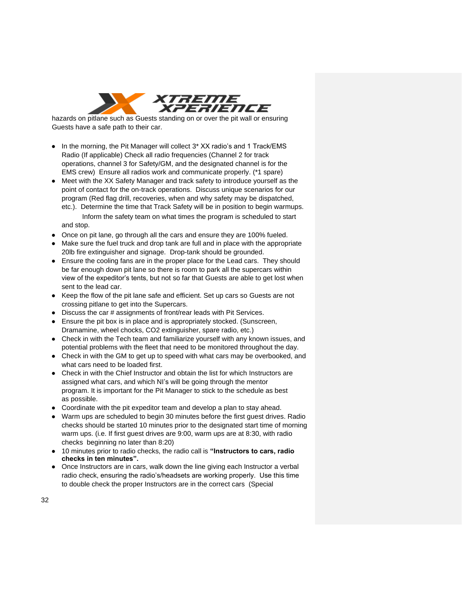

hazards on pitlane such as Guests standing on or over the pit wall or ensuring Guests have a safe path to their car.

- In the morning, the Pit Manager will collect 3\* XX radio's and 1 Track/EMS Radio (If applicable) Check all radio frequencies (Channel 2 for track operations, channel 3 for Safety/GM, and the designated channel is for the EMS crew) Ensure all radios work and communicate properly. (\*1 spare)
- Meet with the XX Safety Manager and track safety to introduce yourself as the point of contact for the on-track operations. Discuss unique scenarios for our program (Red flag drill, recoveries, when and why safety may be dispatched, etc.). Determine the time that Track Safety will be in position to begin warmups.
	- Inform the safety team on what times the program is scheduled to start and stop.
- Once on pit lane, go through all the cars and ensure they are 100% fueled.
- Make sure the fuel truck and drop tank are full and in place with the appropriate 20lb fire extinguisher and signage. Drop-tank should be grounded.
- Ensure the cooling fans are in the proper place for the Lead cars. They should be far enough down pit lane so there is room to park all the supercars within view of the expeditor's tents, but not so far that Guests are able to get lost when sent to the lead car.
- Keep the flow of the pit lane safe and efficient. Set up cars so Guests are not crossing pitlane to get into the Supercars.
- Discuss the car # assignments of front/rear leads with Pit Services.
- Ensure the pit box is in place and is appropriately stocked. (Sunscreen, Dramamine, wheel chocks, CO2 extinguisher, spare radio, etc.)
- Check in with the Tech team and familiarize yourself with any known issues, and potential problems with the fleet that need to be monitored throughout the day.
- Check in with the GM to get up to speed with what cars may be overbooked, and what cars need to be loaded first.
- Check in with the Chief Instructor and obtain the list for which Instructors are assigned what cars, and which NI's will be going through the mentor program. It is important for the Pit Manager to stick to the schedule as best as possible.
- Coordinate with the pit expeditor team and develop a plan to stay ahead.
- Warm ups are scheduled to begin 30 minutes before the first guest drives. Radio checks should be started 10 minutes prior to the designated start time of morning warm ups. (i.e. If first guest drives are 9:00, warm ups are at 8:30, with radio checks beginning no later than 8:20)
- 10 minutes prior to radio checks, the radio call is **"Instructors to cars, radio checks in ten minutes".**
- Once Instructors are in cars, walk down the line giving each Instructor a verbal radio check, ensuring the radio's/headsets are working properly. Use this time to double check the proper Instructors are in the correct cars (Special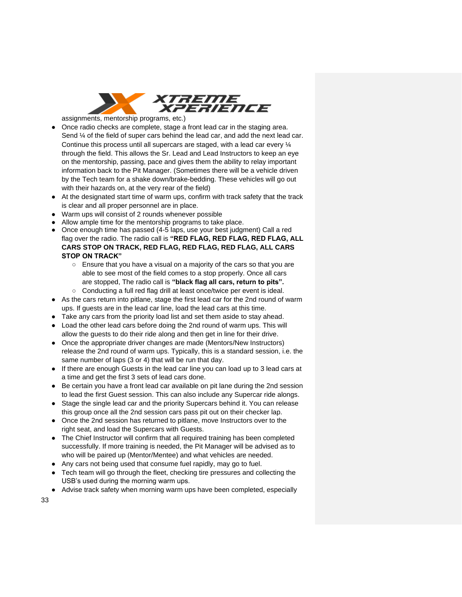

assignments, mentorship programs, etc.)

- Once radio checks are complete, stage a front lead car in the staging area. Send 1/4 of the field of super cars behind the lead car, and add the next lead car. Continue this process until all supercars are staged, with a lead car every ¼ through the field. This allows the Sr. Lead and Lead Instructors to keep an eye on the mentorship, passing, pace and gives them the ability to relay important information back to the Pit Manager. (Sometimes there will be a vehicle driven by the Tech team for a shake down/brake-bedding. These vehicles will go out with their hazards on, at the very rear of the field)
- At the designated start time of warm ups, confirm with track safety that the track is clear and all proper personnel are in place.
- Warm ups will consist of 2 rounds whenever possible
- Allow ample time for the mentorship programs to take place.
- Once enough time has passed (4-5 laps, use your best judgment) Call a red flag over the radio. The radio call is **"RED FLAG, RED FLAG, RED FLAG, ALL CARS STOP ON TRACK, RED FLAG, RED FLAG, RED FLAG, ALL CARS STOP ON TRACK"**
	- Ensure that you have a visual on a majority of the cars so that you are able to see most of the field comes to a stop properly. Once all cars are stopped, The radio call is **"black flag all cars, return to pits".**
	- Conducting a full red flag drill at least once/twice per event is ideal.
- As the cars return into pitlane, stage the first lead car for the 2nd round of warm ups. If guests are in the lead car line, load the lead cars at this time.
- Take any cars from the priority load list and set them aside to stay ahead.
- Load the other lead cars before doing the 2nd round of warm ups. This will allow the guests to do their ride along and then get in line for their drive.
- Once the appropriate driver changes are made (Mentors/New Instructors) release the 2nd round of warm ups. Typically, this is a standard session, i.e. the same number of laps (3 or 4) that will be run that day.
- If there are enough Guests in the lead car line you can load up to 3 lead cars at a time and get the first 3 sets of lead cars done.
- Be certain you have a front lead car available on pit lane during the 2nd session to lead the first Guest session. This can also include any Supercar ride alongs.
- Stage the single lead car and the priority Supercars behind it. You can release this group once all the 2nd session cars pass pit out on their checker lap.
- Once the 2nd session has returned to pitlane, move Instructors over to the right seat, and load the Supercars with Guests.
- The Chief Instructor will confirm that all required training has been completed successfully. If more training is needed, the Pit Manager will be advised as to who will be paired up (Mentor/Mentee) and what vehicles are needed.
- Any cars not being used that consume fuel rapidly, may go to fuel.
- Tech team will go through the fleet, checking tire pressures and collecting the USB's used during the morning warm ups.
- Advise track safety when morning warm ups have been completed, especially

33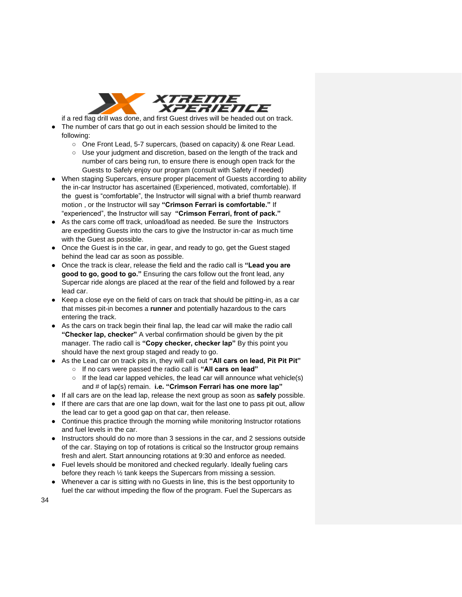

if a red flag drill was done, and first Guest drives will be headed out on track.

- The number of cars that go out in each session should be limited to the following:
	- One Front Lead, 5-7 supercars, (based on capacity) & one Rear Lead.
	- Use your judgment and discretion, based on the length of the track and number of cars being run, to ensure there is enough open track for the Guests to Safely enjoy our program (consult with Safety if needed)
- When staging Supercars, ensure proper placement of Guests according to ability the in-car Instructor has ascertained (Experienced, motivated, comfortable). If the guest is "comfortable", the Instructor will signal with a brief thumb rearward motion , or the Instructor will say **"Crimson Ferrari is comfortable."** If "experienced", the Instructor will say **"Crimson Ferrari, front of pack."**
- As the cars come off track, unload/load as needed. Be sure the Instructors are expediting Guests into the cars to give the Instructor in-car as much time with the Guest as possible.
- Once the Guest is in the car, in gear, and ready to go, get the Guest staged behind the lead car as soon as possible.
- Once the track is clear, release the field and the radio call is **"Lead you are good to go, good to go."** Ensuring the cars follow out the front lead, any Supercar ride alongs are placed at the rear of the field and followed by a rear lead car.
- Keep a close eye on the field of cars on track that should be pitting-in, as a car that misses pit-in becomes a **runner** and potentially hazardous to the cars entering the track.
- As the cars on track begin their final lap, the lead car will make the radio call **"Checker lap, checker"** A verbal confirmation should be given by the pit manager. The radio call is **"Copy checker, checker lap"** By this point you should have the next group staged and ready to go.
- As the Lead car on track pits in, they will call out **"All cars on lead, Pit Pit Pit"**
	- If no cars were passed the radio call is **"All cars on lead"**
	- $\circ$  If the lead car lapped vehicles, the lead car will announce what vehicle(s) and # of lap(s) remain. **i.e. "Crimson Ferrari has one more lap"**
- If all cars are on the lead lap, release the next group as soon as **safely** possible.
- If there are cars that are one lap down, wait for the last one to pass pit out, allow the lead car to get a good gap on that car, then release.
- Continue this practice through the morning while monitoring Instructor rotations and fuel levels in the car.
- Instructors should do no more than 3 sessions in the car, and 2 sessions outside of the car. Staying on top of rotations is critical so the Instructor group remains fresh and alert. Start announcing rotations at 9:30 and enforce as needed.
- Fuel levels should be monitored and checked regularly. Ideally fueling cars before they reach ½ tank keeps the Supercars from missing a session.
- Whenever a car is sitting with no Guests in line, this is the best opportunity to fuel the car without impeding the flow of the program. Fuel the Supercars as

34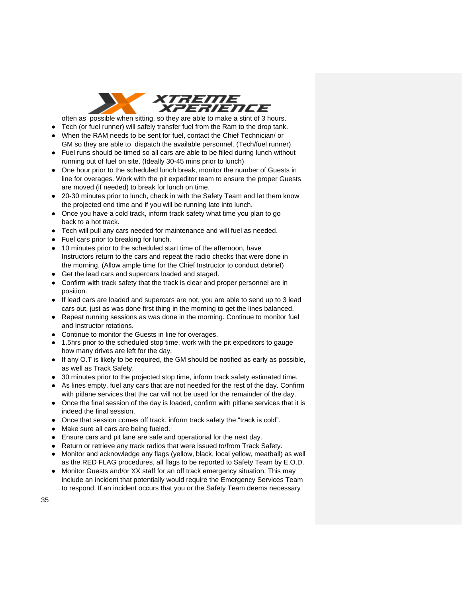

often as possible when sitting, so they are able to make a stint of 3 hours.

- Tech (or fuel runner) will safely transfer fuel from the Ram to the drop tank.
- When the RAM needs to be sent for fuel, contact the Chief Technician/ or GM so they are able to dispatch the available personnel. (Tech/fuel runner)
- Fuel runs should be timed so all cars are able to be filled during lunch without running out of fuel on site. (Ideally 30-45 mins prior to lunch)
- One hour prior to the scheduled lunch break, monitor the number of Guests in line for overages. Work with the pit expeditor team to ensure the proper Guests are moved (if needed) to break for lunch on time.
- 20-30 minutes prior to lunch, check in with the Safety Team and let them know the projected end time and if you will be running late into lunch.
- Once you have a cold track, inform track safety what time you plan to go back to a hot track.
- Tech will pull any cars needed for maintenance and will fuel as needed.
- Fuel cars prior to breaking for lunch.
- 10 minutes prior to the scheduled start time of the afternoon, have Instructors return to the cars and repeat the radio checks that were done in the morning. (Allow ample time for the Chief Instructor to conduct debrief)
- Get the lead cars and supercars loaded and staged.
- Confirm with track safety that the track is clear and proper personnel are in position.
- If lead cars are loaded and supercars are not, you are able to send up to 3 lead cars out, just as was done first thing in the morning to get the lines balanced.
- Repeat running sessions as was done in the morning. Continue to monitor fuel and Instructor rotations.
- Continue to monitor the Guests in line for overages.
- 1.5hrs prior to the scheduled stop time, work with the pit expeditors to gauge how many drives are left for the day.
- If any O.T is likely to be required, the GM should be notified as early as possible, as well as Track Safety.
- 30 minutes prior to the projected stop time, inform track safety estimated time.
- As lines empty, fuel any cars that are not needed for the rest of the day. Confirm with pitlane services that the car will not be used for the remainder of the day.
- Once the final session of the day is loaded, confirm with pitlane services that it is indeed the final session.
- Once that session comes off track, inform track safety the "track is cold".
- Make sure all cars are being fueled.
- Ensure cars and pit lane are safe and operational for the next day.
- Return or retrieve any track radios that were issued to/from Track Safety.
- Monitor and acknowledge any flags (yellow, black, local yellow, meatball) as well as the RED FLAG procedures, all flags to be reported to Safety Team by E.O.D.
- Monitor Guests and/or XX staff for an off track emergency situation. This may include an incident that potentially would require the Emergency Services Team to respond. If an incident occurs that you or the Safety Team deems necessary